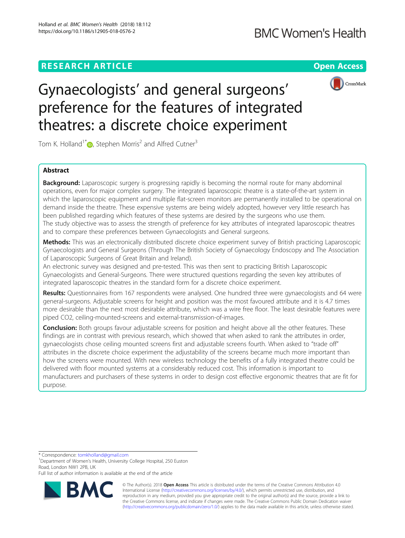# **RESEARCH ARTICLE Example 2018 12:30 THE Open Access**



# Gynaecologists' and general surgeons' preference for the features of integrated theatres: a discrete choice experiment

Tom K. Holland<sup>1\*</sup> $\bullet$ [,](http://orcid.org/0000-0001-5727-0659) Stephen Morris<sup>2</sup> and Alfred Cutner<sup>3</sup>

# Abstract

**Background:** Laparoscopic surgery is progressing rapidly is becoming the normal route for many abdominal operations, even for major complex surgery. The integrated laparoscopic theatre is a state-of-the-art system in which the laparoscopic equipment and multiple flat-screen monitors are permanently installed to be operational on demand inside the theatre. These expensive systems are being widely adopted, however very little research has been published regarding which features of these systems are desired by the surgeons who use them. The study objective was to assess the strength of preference for key attributes of integrated laparoscopic theatres and to compare these preferences between Gynaecologists and General surgeons.

Methods: This was an electronically distributed discrete choice experiment survey of British practicing Laparoscopic Gynaecologists and General Surgeons (Through The British Society of Gynaecology Endoscopy and The Association of Laparoscopic Surgeons of Great Britain and Ireland).

An electronic survey was designed and pre-tested. This was then sent to practicing British Laparoscopic Gynaecologists and General-Surgeons. There were structured questions regarding the seven key attributes of integrated laparoscopic theatres in the standard form for a discrete choice experiment.

Results: Questionnaires from 167 respondents were analysed. One hundred three were gynaecologists and 64 were general-surgeons. Adjustable screens for height and position was the most favoured attribute and it is 4.7 times more desirable than the next most desirable attribute, which was a wire free floor. The least desirable features were piped CO2, ceiling-mounted-screens and external-transmission-of-images.

**Conclusion:** Both groups favour adjustable screens for position and height above all the other features. These findings are in contrast with previous research, which showed that when asked to rank the attributes in order, gynaecologists chose ceiling mounted screens first and adjustable screens fourth. When asked to "trade off" attributes in the discrete choice experiment the adjustability of the screens became much more important than how the screens were mounted. With new wireless technology the benefits of a fully integrated theatre could be delivered with floor mounted systems at a considerably reduced cost. This information is important to manufacturers and purchasers of these systems in order to design cost effective ergonomic theatres that are fit for purpose.

\* Correspondence: [tomkholland@gmail.com](mailto:tomkholland@gmail.com) <sup>1</sup>

<sup>1</sup>Department of Women's Health, University College Hospital, 250 Euston Road, London NW1 2PB, UK

Full list of author information is available at the end of the article



© The Author(s). 2018 Open Access This article is distributed under the terms of the Creative Commons Attribution 4.0 International License [\(http://creativecommons.org/licenses/by/4.0/](http://creativecommons.org/licenses/by/4.0/)), which permits unrestricted use, distribution, and reproduction in any medium, provided you give appropriate credit to the original author(s) and the source, provide a link to the Creative Commons license, and indicate if changes were made. The Creative Commons Public Domain Dedication waiver [\(http://creativecommons.org/publicdomain/zero/1.0/](http://creativecommons.org/publicdomain/zero/1.0/)) applies to the data made available in this article, unless otherwise stated.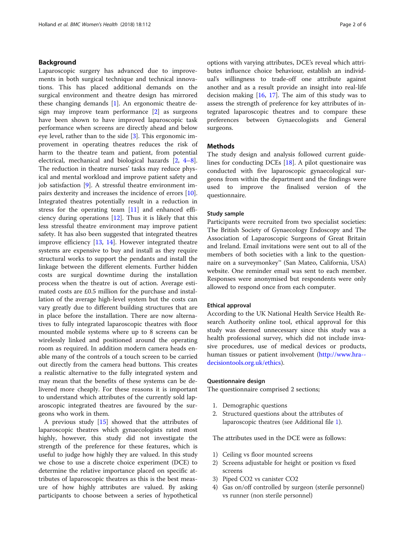# Background

Laparoscopic surgery has advanced due to improvements in both surgical technique and technical innovations. This has placed additional demands on the surgical environment and theatre design has mirrored these changing demands [[1](#page-5-0)]. An ergonomic theatre design may improve team performance [[2\]](#page-5-0) as surgeons have been shown to have improved laparoscopic task performance when screens are directly ahead and below eye level, rather than to the side [\[3](#page-5-0)]. This ergonomic improvement in operating theatres reduces the risk of harm to the theatre team and patient, from potential electrical, mechanical and biological hazards [\[2,](#page-5-0) [4](#page-5-0)–[8](#page-5-0)]. The reduction in theatre nurses' tasks may reduce physical and mental workload and improve patient safety and job satisfaction [[9\]](#page-5-0). A stressful theatre environment impairs dexterity and increases the incidence of errors [\[10](#page-5-0)]. Integrated theatres potentially result in a reduction in stress for the operating team [[11\]](#page-5-0) and enhanced efficiency during operations [[12\]](#page-5-0). Thus it is likely that this less stressful theatre environment may improve patient safety. It has also been suggested that integrated theatres improve efficiency [\[13](#page-5-0), [14](#page-5-0)]. However integrated theatre systems are expensive to buy and install as they require structural works to support the pendants and install the linkage between the different elements. Further hidden costs are surgical downtime during the installation process when the theatre is out of action. Average estimated costs are £0.5 million for the purchase and installation of the average high-level system but the costs can vary greatly due to different building structures that are in place before the installation. There are now alternatives to fully integrated laparoscopic theatres with floor mounted mobile systems where up to 8 screens can be wirelessly linked and positioned around the operating room as required. In addition modern camera heads enable many of the controls of a touch screen to be carried out directly from the camera head buttons. This creates a realistic alternative to the fully integrated system and may mean that the benefits of these systems can be delivered more cheaply. For these reasons it is important to understand which attributes of the currently sold laparoscopic integrated theatres are favoured by the surgeons who work in them.

A previous study [\[15](#page-5-0)] showed that the attributes of laparoscopic theatres which gynaecologists rated most highly, however, this study did not investigate the strength of the preference for these features, which is useful to judge how highly they are valued. In this study we chose to use a discrete choice experiment (DCE) to determine the relative importance placed on specific attributes of laparoscopic theatres as this is the best measure of how highly attributes are valued. By asking participants to choose between a series of hypothetical

options with varying attributes, DCE's reveal which attributes influence choice behaviour, establish an individual's willingness to trade-off one attribute against another and as a result provide an insight into real-life decision making [[16,](#page-5-0) [17\]](#page-5-0). The aim of this study was to assess the strength of preference for key attributes of integrated laparoscopic theatres and to compare these preferences between Gynaecologists and General surgeons.

# **Methods**

The study design and analysis followed current guidelines for conducting DCEs [\[18\]](#page-5-0). A pilot questionaire was conducted with five laparoscopic gynaecological surgeons from within the department and the findings were used to improve the finalised version of the questionnaire.

# Study sample

Participants were recruited from two specialist societies: The British Society of Gynaecology Endoscopy and The Association of Laparoscopic Surgeons of Great Britain and Ireland. Email invitations were sent out to all of the members of both societies with a link to the questionnaire on a surveymonkey™ (San Mateo, California, USA) website. One reminder email was sent to each member. Responses were anonymised but respondents were only allowed to respond once from each computer.

# Ethical approval

According to the UK National Health Service Health Research Authority online tool, ethical approval for this study was deemed unnecessary since this study was a health professional survey, which did not include invasive procedures, use of medical devices or products, human tissues or patient involvement [\(http://www.hra-](http://www.hra-decisiontools.org.uk/ethics) [decisiontools.org.uk/ethics](http://www.hra-decisiontools.org.uk/ethics)).

# Questionnaire design

The questionnaire comprised 2 sections;

- 1. Demographic questions
- 2. Structured questions about the attributes of laparoscopic theatres (see Additional file [1](#page-4-0)).

The attributes used in the DCE were as follows:

- 1) Ceiling vs floor mounted screens
- 2) Screens adjustable for height or position vs fixed screens
- 3) Piped CO2 vs canister CO2
- 4) Gas on/off controlled by surgeon (sterile personnel) vs runner (non sterile personnel)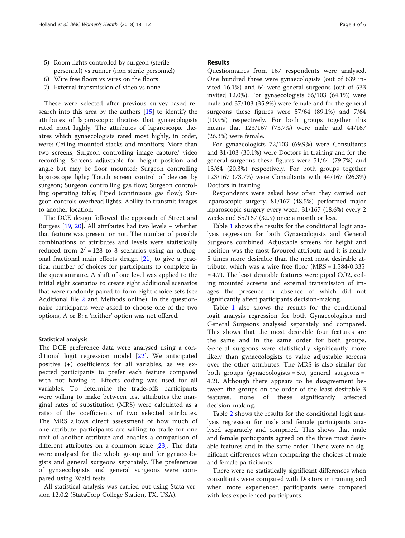- 5) Room lights controlled by surgeon (sterile personnel) vs runner (non sterile personnel)
- 6) Wire free floors vs wires on the floors
- 7) External transmission of video vs none.

These were selected after previous survey-based research into this area by the authors [\[15\]](#page-5-0) to identify the attributes of laparoscopic theatres that gynaecologists rated most highly. The attributes of laparoscopic theatres which gynaecologists rated most highly, in order, were: Ceiling mounted stacks and monitors; More than two screens; Surgeon controlling image capture/ video recording; Screens adjustable for height position and angle but may be floor mounted; Surgeon controlling laparoscope light; Touch screen control of devices by surgeon; Surgeon controlling gas flow; Surgeon controlling operating table; Piped (continuous gas flow); Surgeon controls overhead lights; Ability to transmit images to another location.

The DCE design followed the approach of Street and Burgess [[19](#page-5-0), [20\]](#page-5-0). All attributes had two levels – whether that feature was present or not. The number of possible combinations of attributes and levels were statistically reduced from  $2^7 = 128$  to 8 scenarios using an orthogonal fractional main effects design [\[21](#page-5-0)] to give a practical number of choices for participants to complete in the questionnaire. A shift of one level was applied to the initial eight scenarios to create eight additional scenarios that were randomly paired to form eight choice sets (see Additional file [2](#page-4-0) and Methods online). In the questionnaire participants were asked to choose one of the two options, A or B; a 'neither' option was not offered.

# Statistical analysis

The DCE preference data were analysed using a conditional logit regression model [[22\]](#page-5-0). We anticipated positive (+) coefficients for all variables, as we expected participants to prefer each feature compared with not having it. Effects coding was used for all variables. To determine the trade-offs participants were willing to make between test attributes the marginal rates of substitution (MRS) were calculated as a ratio of the coefficients of two selected attributes. The MRS allows direct assessment of how much of one attribute participants are willing to trade for one unit of another attribute and enables a comparison of different attributes on a common scale [[23\]](#page-5-0). The data were analysed for the whole group and for gynaecologists and general surgeons separately. The preferences of gynaecologists and general surgeons were compared using Wald tests.

All statistical analysis was carried out using Stata version 12.0.2 (StataCorp College Station, TX, USA).

# Results

Questionnaires from 167 respondents were analysed. One hundred three were gynaecologists (out of 639 invited 16.1%) and 64 were general surgeons (out of 533 invited 12.0%). For gynaecologists 66/103 (64.1%) were male and 37/103 (35.9%) were female and for the general surgeons these figures were 57/64 (89.1%) and 7/64 (10.9%) respectively. For both groups together this means that 123/167 (73.7%) were male and 44/167 (26.3%) were female.

For gynaecologists 72/103 (69.9%) were Consultants and 31/103 (30.1%) were Doctors in training and for the general surgeons these figures were 51/64 (79.7%) and 13/64 (20.3%) respectively. For both groups together 123/167 (73.7%) were Consultants with 44/167 (26.3%) Doctors in training.

Respondents were asked how often they carried out laparoscopic surgery. 81/167 (48.5%) performed major laparoscopic surgery every week, 31/167 (18.6%) every 2 weeks and 55/167 (32.9) once a month or less.

Table [1](#page-3-0) shows the results for the conditional logit analysis regression for both Gynaecologists and General Surgeons combined. Adjustable screens for height and position was the most favoured attribute and it is nearly 5 times more desirable than the next most desirable attribute, which was a wire free floor (MRS = 1.584/0.335  $= 4.7$ ). The least desirable features were piped CO2, ceiling mounted screens and external transmission of images the presence or absence of which did not significantly affect participants decision-making.

Table [1](#page-3-0) also shows the results for the conditional logit analysis regression for both Gynaecologists and General Surgeons analysed separately and compared. This shows that the most desirable four features are the same and in the same order for both groups. General surgeons were statistically significantly more likely than gynaecologists to value adjustable screens over the other attributes. The MRS is also similar for both groups (gynaecologists  $= 5.0$ , general surgeons  $=$ 4.2). Although there appears to be disagreement between the groups on the order of the least desirable 3 features, none of these significantly affected decision-making.

Table [2](#page-3-0) shows the results for the conditional logit analysis regression for male and female participants analysed separately and compared. This shows that male and female participants agreed on the three most desirable features and in the same order. There were no significant differences when comparing the choices of male and female participants.

There were no statistically significant differences when consultants were compared with Doctors in training and when more experienced participants were compared with less experienced participants.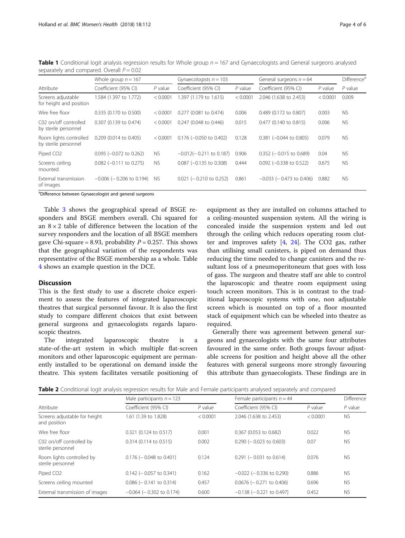|                                                | Whole group $n = 167$         |           | Gynaecologists $n = 103$  |           | General surgeons $n = 64$     |           | Difference <sup>a</sup> |
|------------------------------------------------|-------------------------------|-----------|---------------------------|-----------|-------------------------------|-----------|-------------------------|
| Attribute                                      | Coefficient (95% CI)          | $P$ value | Coefficient (95% CI)      | $P$ value | Coefficient (95% CI)          | $P$ value | $P$ value               |
| Screens adjustable<br>for height and position  | 1.584 (1.397 to 1.772)        | < 0.0001  | .397 (1.179 to 1.615)     | < 0.0001  | 2.046 (1.638 to 2.453)        | < 0.0001  | 0.009                   |
| Wire free floor                                | 0.335 (0.170 to 0.500)        | < 0.0001  | 0.277 (0.081 to 0.474)    | 0.006     | 0.489 (0.172 to 0.807)        | 0.003     | <b>NS</b>               |
| C02 on/off controlled<br>by sterile personnel  | 0.307 (0.139 to 0.474)        | < 0.0001  | $0.247$ (0.048 to 0.446)  | 0.015     | 0.477 (0.140 to 0.815)        | 0.006     | <b>NS</b>               |
| Room lights controlled<br>by sterile personnel | 0.209 (0.014 to 0.405)        | < 0.0001  | $0.176$ (-0.050 to 0.402) | 0.128     | $0.381$ (-0.044 to 0.805)     | 0.079     | <b>NS</b>               |
| Piped CO <sub>2</sub>                          | $0.095$ (-0.072 to 0.262)     | <b>NS</b> | $-0.012(-0.211$ to 0.187) | 0.906     | $0.352$ (-0.015 to 0.689)     | 0.04      | <b>NS</b>               |
| Screens ceiling<br>mounted                     | $0.082$ (-0.111 to 0.275)     | <b>NS</b> | $0.087$ (-0.135 to 0.308) | 0.444     | $0.092$ (-0.338 to 0.522)     | 0.675     | <b>NS</b>               |
| External transmission<br>of images             | $-0.006$ ( $-0.206$ to 0.194) | <b>NS</b> | $0.021$ (-0.210 to 0.252) | 0.861     | $-0.033$ ( $-0.473$ to 0.406) | 0.882     | <b>NS</b>               |

<span id="page-3-0"></span>**Table 1** Conditional logit analysis regression results for Whole group  $n = 167$  and Gynaecologists and General surgeons analysed separately and compared. Overall  $P = 0.02$ 

<sup>a</sup>Difference between Gynaecologist and general surgeons

Table [3](#page-4-0) shows the geographical spread of BSGE responders and BSGE members overall. Chi squared for an  $8 \times 2$  table of difference between the location of the survey responders and the location of all BSGE members gave Chi-square = 8.93, probability  $P = 0.257$ . This shows that the geographical variation of the respondents was representative of the BSGE membership as a whole. Table [4](#page-4-0) shows an example question in the DCE.

# **Discussion**

This is the first study to use a discrete choice experiment to assess the features of integrated laparoscopic theatres that surgical personnel favour. It is also the first study to compare different choices that exist between general surgeons and gynaecologists regards laparoscopic theatres.

The integrated laparoscopic theatre is a state-of-the-art system in which multiple flat-screen monitors and other laparoscopic equipment are permanently installed to be operational on demand inside the theatre. This system facilitates versatile positioning of

equipment as they are installed on columns attached to a ceiling-mounted suspension system. All the wiring is concealed inside the suspension system and led out through the ceiling which reduces operating room clutter and improves safety  $[4, 24]$  $[4, 24]$  $[4, 24]$  $[4, 24]$ . The CO2 gas, rather than utilising small canisters, is piped on demand thus reducing the time needed to change canisters and the resultant loss of a pneumoperitoneum that goes with loss of gass. The surgeon and theatre staff are able to control the laparoscopic and theatre room equipment using touch screen monitors. This is in contrast to the traditional laparoscopic systems with one, non adjustable screen which is mounted on top of a floor mounted stack of equipment which can be wheeled into theatre as required.

Generally there was agreement between general surgeons and gynaecologists with the same four attributes favoured in the same order. Both groups favour adjustable screens for position and height above all the other features with general surgeons more strongly favouring this attribute than gynaecologists. These findings are in

Table 2 Conditional logit analysis regression results for Male and Female participants analysed separately and compared

|                                                | Male participants $n = 123$   |           | Female participants $n = 44$  | Difference |           |
|------------------------------------------------|-------------------------------|-----------|-------------------------------|------------|-----------|
| Attribute                                      | Coefficient (95% CI)          | $P$ value | Coefficient (95% CI)          | $P$ value  | $P$ value |
| Screens adjustable for height<br>and position  | 1.61 (1.39 to 1.828)          | < 0.0001  | 2.046 (1.638 to 2.453)        | < 0.0001   | <b>NS</b> |
| Wire free floor                                | 0.321 (0.124 to 0.517)        | 0.001     | 0.367 (0.053 to 0.682)        | 0.022      | <b>NS</b> |
| C02 on/off controlled by<br>sterile personnel  | $0.314$ (0.114 to 0.515)      | 0.002     | $0.290$ (- 0.023 to 0.603)    | 0.07       | <b>NS</b> |
| Room lights controlled by<br>sterile personnel | $0.176$ (-0.048 to 0.401)     | 0.124     | $0.291$ (-0.031 to 0.614)     | 0.076      | <b>NS</b> |
| Piped CO <sub>2</sub>                          | $0.142$ (-0.057 to 0.341)     | 0.162     | $-0.022$ ( $-0.336$ to 0.290) | 0.886      | <b>NS</b> |
| Screens ceiling mounted                        | $0.086$ ( $-0.141$ to 0.314)  | 0.457     | $0.0676$ ( $-0.271$ to 0.406) | 0.696      | <b>NS</b> |
| External transmission of images                | $-0.064$ ( $-0.302$ to 0.174) | 0.600     | $-0.138$ ( $-0.221$ to 0.497) | 0.452      | <b>NS</b> |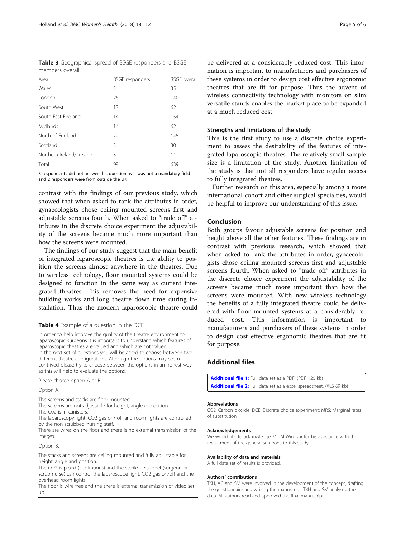<span id="page-4-0"></span>Table 3 Geographical spread of BSGE responders and BSGE members overall

| Area                      | <b>BSGE</b> responders | <b>BSGE</b> overall |  |
|---------------------------|------------------------|---------------------|--|
| Wales                     | 3                      | 35                  |  |
| London                    | 26                     | 140                 |  |
| South West                | 13                     | 62                  |  |
| South East England        | 14                     | 154                 |  |
| Midlands                  | 14                     | 62                  |  |
| North of England          | 22                     | 145                 |  |
| Scotland                  | 3                      | 30                  |  |
| Northern Ireland/ Ireland | 3                      | 11                  |  |
| Total                     | 98                     | 639                 |  |

3 respondents did not answer this question as it was not a mandatory field and 2 responders were from outside the UK

contrast with the findings of our previous study, which showed that when asked to rank the attributes in order, gynaecologists chose ceiling mounted screens first and adjustable screens fourth. When asked to "trade off" attributes in the discrete choice experiment the adjustability of the screens became much more important than how the screens were mounted.

The findings of our study suggest that the main benefit of integrated laparoscopic theatres is the ability to position the screens almost anywhere in the theatres. Due to wireless technology, floor mounted systems could be designed to function in the same way as current integrated theatres. This removes the need for expensive building works and long theatre down time during installation. Thus the modern laparoscopic theatre could

#### Table 4 Example of a question in the DCE

In order to help improve the quality of the theatre environment for laparoscopic surgeons it is important to understand which features of laparoscopic theatres are valued and which are not valued. In the next set of questions you will be asked to choose between two different theatre configurations. Although the options may seem contrived please try to choose between the options in an honest way as this will help to evaluate the options.

Please choose option A or B.

#### Option A.

The screens and stacks are floor mounted.

The screens are not adjustable for height, angle or position.

The C02 is in canisters.

The laparoscopy light, CO2 gas on/ off and room lights are controlled by the non scrubbed nursing staff.

There are wires on the floor and there is no external transmission of the images.

#### Option B.

The stacks and screens are ceiling mounted and fully adjustable for height, angle and position.

The CO2 is piped (continuous) and the sterile personnel (surgeon or scrub nurse) can control the laparoscope light, CO2 gas on/off and the overhead room lights.

The floor is wire free and the there is external transmission of video set up.

be delivered at a considerably reduced cost. This information is important to manufacturers and purchasers of these systems in order to design cost effective ergonomic theatres that are fit for purpose. Thus the advent of wireless connectivity technology with monitors on slim versatile stands enables the market place to be expanded at a much reduced cost.

# Strengths and limitations of the study

This is the first study to use a discrete choice experiment to assess the desirability of the features of integrated laparoscopic theatres. The relatively small sample size is a limitation of the study. Another limitation of the study is that not all responders have regular access to fully integrated theatres.

Further research on this area, especially among a more international cohort and other surgical specialties, would be helpful to improve our understanding of this issue.

# Conclusion

Both groups favour adjustable screens for position and height above all the other features. These findings are in contrast with previous research, which showed that when asked to rank the attributes in order, gynaecologists chose ceiling mounted screens first and adjustable screens fourth. When asked to "trade off" attributes in the discrete choice experiment the adjustability of the screens became much more important than how the screens were mounted. With new wireless technology the benefits of a fully integrated theatre could be delivered with floor mounted systems at a considerably reduced cost. This information is important to manufacturers and purchasers of these systems in order to design cost effective ergonomic theatres that are fit for purpose.

# Additional files

[Additional file 1:](https://doi.org/10.1186/s12905-018-0576-2) Full data set as a PDF. (PDF 120 kb) [Additional file 2:](https://doi.org/10.1186/s12905-018-0576-2) Full data set as a excel spreadsheet. (XLS 69 kb)

#### Abbreviations

CO2: Carbon dioxide; DCE: Discrete choice experiment; MRS: Marginal rates of substitution

#### Acknowledgements

We would like to acknowledge Mr. Al Windsor for his assistance with the recruitment of the general surgeons to this study.

#### Availability of data and materials

A full data set of results is provided.

## Authors' contributions

TKH, AC and SM were involved in the development of the concept, drafting the questionnaire and writing the manuscript. TKH and SM analysed the data. All authors read and approved the final manuscript.